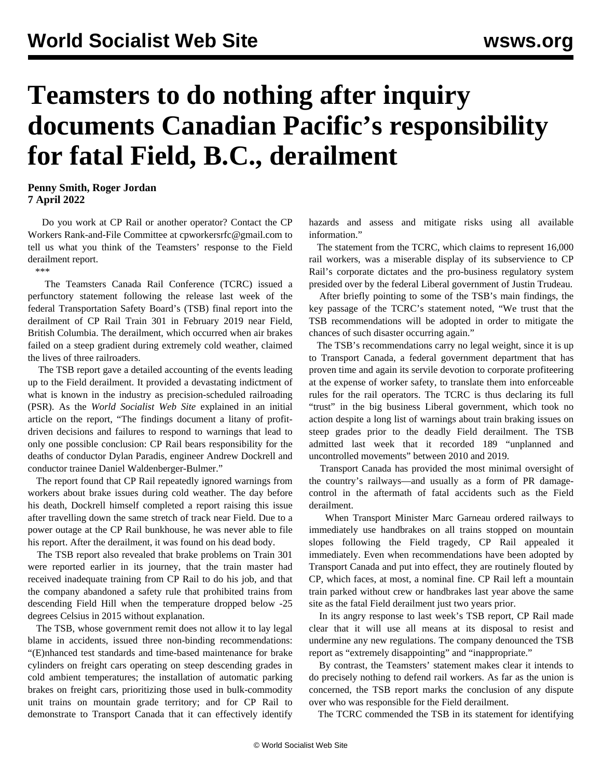## **Teamsters to do nothing after inquiry documents Canadian Pacific's responsibility for fatal Field, B.C., derailment**

## **Penny Smith, Roger Jordan 7 April 2022**

 Do you work at CP Rail or another operator? Contact the CP Workers Rank-and-File Committee at [cpworkersrfc@gmail.com](mailto:cpworkersrfc@gmail.com) to tell us what you think of the Teamsters' response to the Field derailment report.

\*\*\*

 The Teamsters Canada Rail Conference (TCRC) issued a perfunctory statement following the release last week of the federal Transportation Safety Board's (TSB) final report into the derailment of CP Rail Train 301 in February 2019 near Field, British Columbia. The derailment, which occurred when air brakes failed on a steep gradient during extremely cold weather, claimed the lives of three railroaders.

 The TSB report gave a detailed accounting of the events leading up to the Field derailment. It provided a devastating indictment of what is known in the industry as precision-scheduled railroading (PSR). As the *World Socialist Web Site* explained in [an initial](/en/articles/2022/04/02/fiel-a02.html) [article](/en/articles/2022/04/02/fiel-a02.html) on the report, "The findings document a litany of profitdriven decisions and failures to respond to warnings that lead to only one possible conclusion: CP Rail bears responsibility for the deaths of conductor Dylan Paradis, engineer Andrew Dockrell and conductor trainee Daniel Waldenberger-Bulmer."

 The report found that CP Rail repeatedly ignored warnings from workers about brake issues during cold weather. The day before his death, Dockrell himself completed a report raising this issue after travelling down the same stretch of track near Field. Due to a power outage at the CP Rail bunkhouse, he was never able to file his report. After the derailment, it was found on his dead body.

 The TSB report also revealed that brake problems on Train 301 were reported earlier in its journey, that the train master had received inadequate training from CP Rail to do his job, and that the company abandoned a safety rule that prohibited trains from descending Field Hill when the temperature dropped below -25 degrees Celsius in 2015 without explanation.

 The TSB, whose government remit does not allow it to lay legal blame in accidents, issued three non-binding recommendations: "(E)nhanced test standards and time-based maintenance for brake cylinders on freight cars operating on steep descending grades in cold ambient temperatures; the installation of automatic parking brakes on freight cars, prioritizing those used in bulk-commodity unit trains on mountain grade territory; and for CP Rail to demonstrate to Transport Canada that it can effectively identify

hazards and assess and mitigate risks using all available information."

 The statement from the TCRC, which claims to represent 16,000 rail workers, was a miserable display of its subservience to CP Rail's corporate dictates and the pro-business regulatory system presided over by the federal Liberal government of Justin Trudeau.

 After briefly pointing to some of the TSB's main findings, the key passage of the TCRC's statement noted, "We trust that the TSB recommendations will be adopted in order to mitigate the chances of such disaster occurring again."

 The TSB's recommendations carry no legal weight, since it is up to Transport Canada, a federal government department that has proven time and again its servile devotion to corporate profiteering at the expense of worker safety, to translate them into enforceable rules for the rail operators. The TCRC is thus declaring its full "trust" in the big business Liberal government, which took no action despite a long list of warnings about train braking issues on steep grades prior to the deadly Field derailment. The TSB admitted last week that it recorded 189 "unplanned and uncontrolled movements" between 2010 and 2019.

 Transport Canada has provided the most minimal oversight of the country's railways—and usually as a form of PR damagecontrol in the aftermath of fatal accidents such as the Field derailment.

 When Transport Minister Marc Garneau ordered railways to immediately use handbrakes on all trains stopped on mountain slopes following the Field tragedy, CP Rail appealed it immediately. Even when recommendations have been adopted by Transport Canada and put into effect, they are routinely flouted by CP, which faces, at most, a nominal fine. CP Rail left a mountain train parked without crew or handbrakes last year above the same site as the fatal Field derailment just two years prior.

 In its angry response to last week's TSB report, CP Rail made clear that it will use all means at its disposal to resist and undermine any new regulations. The company denounced the TSB report as "extremely disappointing" and "inappropriate."

 By contrast, the Teamsters' statement makes clear it intends to do precisely nothing to defend rail workers. As far as the union is concerned, the TSB report marks the conclusion of any dispute over who was responsible for the Field derailment.

The TCRC commended the TSB in its statement for identifying